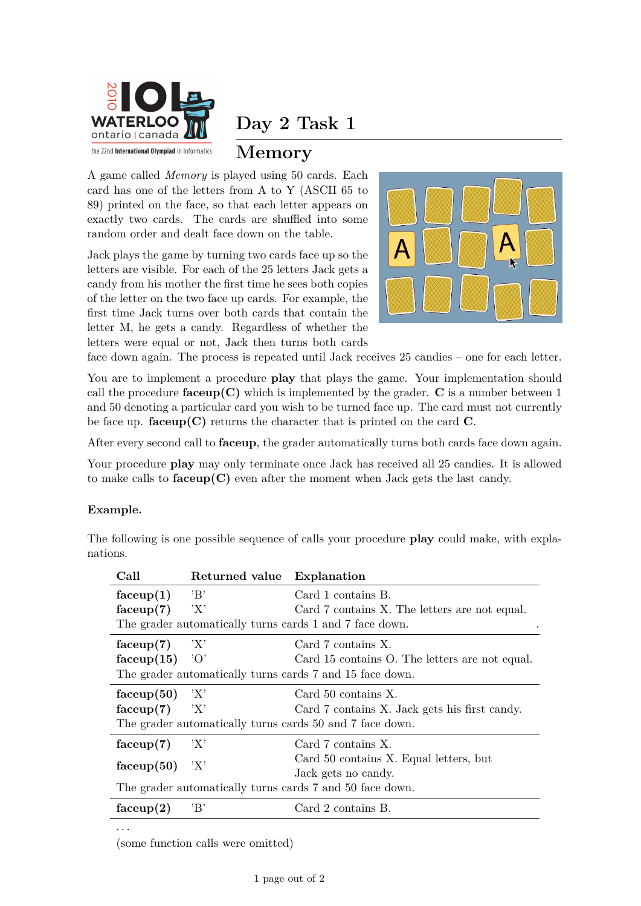

**Day 2 Task 1**

## **Memory**

A game called *Memory* is played using 50 cards. Each card has one of the letters from A to Y (ASCII 65 to 89) printed on the face, so that each letter appears on exactly two cards. The cards are shuffled into some random order and dealt face down on the table.

Jack plays the game by turning two cards face up so the letters are visible. For each of the 25 letters Jack gets a candy from his mother the first time he sees both copies of the letter on the two face up cards. For example, the first time Jack turns over both cards that contain the letter M, he gets a candy. Regardless of whether the letters were equal or not, Jack then turns both cards



face down again. The process is repeated until Jack receives 25 candies – one for each letter.

You are to implement a procedure **play** that plays the game. Your implementation should call the procedure  $faceup(C)$  which is implemented by the grader.  $C$  is a number between 1 and 50 denoting a particular card you wish to be turned face up. The card must not currently be face up. **faceup(C)** returns the character that is printed on the card **C**.

After every second call to **faceup**, the grader automatically turns both cards face down again.

Your procedure **play** may only terminate once Jack has received all 25 candies. It is allowed to make calls to  $faceup(C)$  even after the moment when Jack gets the last candy.

## **Example.**

· · ·

The following is one possible sequence of calls your procedure **play** could make, with explanations.

| Call                                                     | Returned value Explanation |                                                |  |
|----------------------------------------------------------|----------------------------|------------------------------------------------|--|
| $f_{\text{accept}}(1)$                                   | $\cdot_{\rm B}$            | Card 1 contains B.                             |  |
| faceup(7)                                                | 'X'                        | Card 7 contains X. The letters are not equal.  |  |
| The grader automatically turns cards 1 and 7 face down.  |                            |                                                |  |
| faceup(7)                                                | $\langle X \rangle$        | Card 7 contains X.                             |  |
| faceup $(15)$                                            | $\partial$                 | Card 15 contains O. The letters are not equal. |  |
| The grader automatically turns cards 7 and 15 face down. |                            |                                                |  |
| faceup(50)                                               | Y'                         | Card 50 contains X.                            |  |
| faceup(7)                                                | 'X'                        | Card 7 contains X. Jack gets his first candy.  |  |
| The grader automatically turns cards 50 and 7 face down. |                            |                                                |  |
| faceup(7)                                                | 'X'                        | Card 7 contains X.                             |  |
| faceup(50)                                               | 'X'                        | Card 50 contains X. Equal letters, but         |  |
|                                                          |                            | Jack gets no candy.                            |  |
| The grader automatically turns cards 7 and 50 face down. |                            |                                                |  |
| $f_{\rm{accept}}(2)$                                     | 'B'                        | Card 2 contains B.                             |  |

(some function calls were omitted)